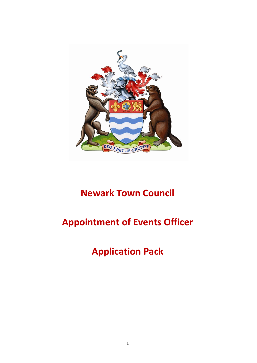

# **Newark Town Council**

# **Appointment of Events Officer**

**Application Pack**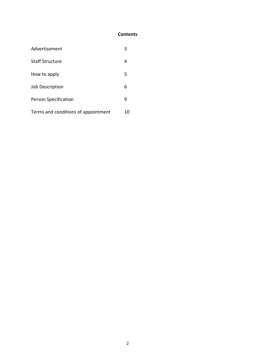## **Contents**

| Advertisement                       | 3  |
|-------------------------------------|----|
| <b>Staff Structure</b>              | 4  |
| How to apply                        | 5  |
| Job Description                     | 6  |
| Person Specification                | g  |
| Terms and conditions of appointment | 10 |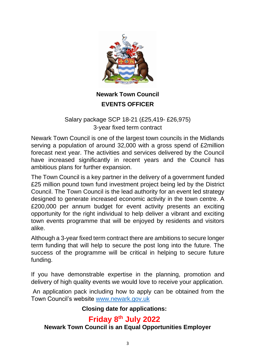

## **Newark Town Council EVENTS OFFICER**

## Salary package SCP 18-21 (£25,419- £26,975) 3-year fixed term contract

Newark Town Council is one of the largest town councils in the Midlands serving a population of around 32,000 with a gross spend of £2million forecast next year. The activities and services delivered by the Council have increased significantly in recent years and the Council has ambitious plans for further expansion.

The Town Council is a key partner in the delivery of a government funded £25 million pound town fund investment project being led by the District Council. The Town Council is the lead authority for an event led strategy designed to generate increased economic activity in the town centre. A £200,000 per annum budget for event activity presents an exciting opportunity for the right individual to help deliver a vibrant and exciting town events programme that will be enjoyed by residents and visitors alike.

Although a 3-year fixed term contract there are ambitions to secure longer term funding that will help to secure the post long into the future. The success of the programme will be critical in helping to secure future funding.

If you have demonstrable expertise in the planning, promotion and delivery of high quality events we would love to receive your application.

An application pack including how to apply can be obtained from the Town Council's website [www.newark.gov.uk](http://www.newark.gov.uk/)

## **Closing date for applications:**

## **Friday 8th July 2022**

## **Newark Town Council is an Equal Opportunities Employer**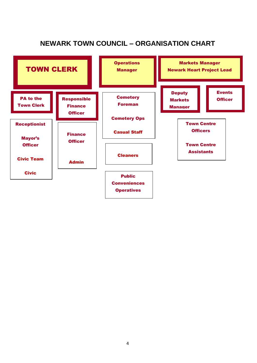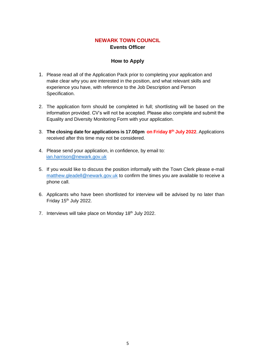## **NEWARK TOWN COUNCIL Events Officer**

#### **How to Apply**

- 1. Please read all of the Application Pack prior to completing your application and make clear why you are interested in the position, and what relevant skills and experience you have, with reference to the Job Description and Person Specification.
- 2. The application form should be completed in full; shortlisting will be based on the information provided. CV's will not be accepted. Please also complete and submit the Equality and Diversity Monitoring Form with your application.
- 3. **The closing date for applications is 17.00pm on Friday 8 th July 2022**. Applications received after this time may not be considered.
- 4. Please send your application, in confidence, by email to: [ian.harrison@newark.gov.uk](mailto:alan.mellor@newark.gov.uk)
- 5. If you would like to discuss the position informally with the Town Clerk please e-mail [matthew.gleadell@newark.gov.uk](mailto:matthew.gleadell@newark.gov.uk) to confirm the times you are available to receive a phone call.
- 6. Applicants who have been shortlisted for interview will be advised by no later than Friday 15<sup>th</sup> July 2022.
- 7. Interviews will take place on Monday 18th July 2022.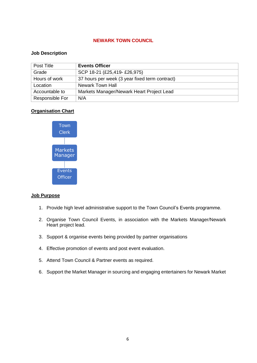#### **NEWARK TOWN COUNCIL**

#### **Job Description**

| Post Title      | <b>Events Officer</b>                          |
|-----------------|------------------------------------------------|
| Grade           | SCP 18-21 (£25,419- £26,975)                   |
| Hours of work   | 37 hours per week (3 year fixed term contract) |
| Location        | Newark Town Hall                               |
| Accountable to  | Markets Manager/Newark Heart Project Lead      |
| Responsible For | N/A                                            |

#### **Organisation Chart**



#### **Job Purpose**

- 1. Provide high level administrative support to the Town Council's Events programme.
- 2. Organise Town Council Events, in association with the Markets Manager/Newark Heart project lead.
- 3. Support & organise events being provided by partner organisations
- 4. Effective promotion of events and post event evaluation.
- 5. Attend Town Council & Partner events as required.
- 6. Support the Market Manager in sourcing and engaging entertainers for Newark Market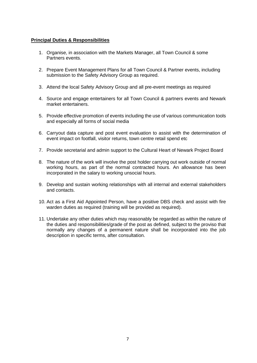#### **Principal Duties & Responsibilities**

- 1. Organise, in association with the Markets Manager, all Town Council & some Partners events.
- 2. Prepare Event Management Plans for all Town Council & Partner events, including submission to the Safety Advisory Group as required.
- 3. Attend the local Safety Advisory Group and all pre-event meetings as required
- 4. Source and engage entertainers for all Town Council & partners events and Newark market entertainers.
- 5. Provide effective promotion of events including the use of various communication tools and especially all forms of social media
- 6. Carryout data capture and post event evaluation to assist with the determination of event impact on footfall, visitor returns, town centre retail spend etc
- 7. Provide secretarial and admin support to the Cultural Heart of Newark Project Board
- 8. The nature of the work will involve the post holder carrying out work outside of normal working hours, as part of the normal contracted hours. An allowance has been incorporated in the salary to working unsocial hours.
- 9. Develop and sustain working relationships with all internal and external stakeholders and contacts.
- 10. Act as a First Aid Appointed Person, have a positive DBS check and assist with fire warden duties as required (training will be provided as required).
- 11. Undertake any other duties which may reasonably be regarded as within the nature of the duties and responsibilities/grade of the post as defined, subject to the proviso that normally any changes of a permanent nature shall be incorporated into the job description in specific terms, after consultation.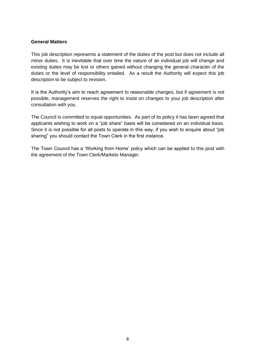#### **General Matters**

This job description represents a statement of the duties of the post but does not include all minor duties. It is inevitable that over time the nature of an individual job will change and existing duties may be lost or others gained without changing the general character of the duties or the level of responsibility entailed. As a result the Authority will expect this job description to be subject to revision.

It is the Authority's aim to reach agreement to reasonable changes, but if agreement is not possible, management reserves the right to insist on changes to your job description after consultation with you.

The Council is committed to equal opportunities. As part of its policy it has been agreed that applicants wishing to work on a "job share" basis will be considered on an individual basis. Since it is not possible for all posts to operate in this way, if you wish to enquire about "job sharing" you should contact the Town Clerk in the first instance.

The Town Council has a 'Working from Home' policy which can be applied to this post with the agreement of the Town Clerk/Markets Manager.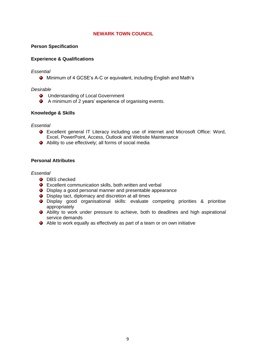#### **NEWARK TOWN COUNCIL**

#### **Person Specification**

#### **Experience & Qualifications**

#### *Essential*

Minimum of 4 GCSE's A-C or equivalent, including English and Math's

#### *Desirable*

- $\bullet$  Understanding of Local Government
- A minimum of 2 years' experience of organising events.

#### **Knowledge & Skills**

#### *Essential*

- Excellent general IT Literacy including use of internet and Microsoft Office: Word, Excel, PowerPoint, Access, Outlook and Website Maintenance
- Ability to use effectively; all forms of social media

#### **Personal Attributes**

#### *Essential*

- **O** DBS checked
- Excellent communication skills, both written and verbal
- **O** Display a good personal manner and presentable appearance
- Display tact, diplomacy and discretion at all times
- Display good organisational skills: evaluate competing priorities & prioritise appropriately
- Ability to work under pressure to achieve, both to deadlines and high aspirational service demands
- Able to work equally as effectively as part of a team or on own initiative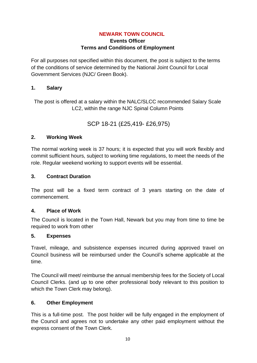## **NEWARK TOWN COUNCIL**

## **Events Officer Terms and Conditions of Employment**

For all purposes not specified within this document, the post is subject to the terms of the conditions of service determined by the National Joint Council for Local Government Services (NJC/ Green Book).

## **1. Salary**

The post is offered at a salary within the NALC/SLCC recommended Salary Scale LC2, within the range NJC Spinal Column Points

## SCP 18-21 (£25,419- £26,975)

## **2. Working Week**

The normal working week is 37 hours; it is expected that you will work flexibly and commit sufficient hours, subject to working time regulations, to meet the needs of the role. Regular weekend working to support events will be essential.

## **3. Contract Duration**

The post will be a fixed term contract of 3 years starting on the date of commencement.

#### **4. Place of Work**

The Council is located in the Town Hall, Newark but you may from time to time be required to work from other

#### **5. Expenses**

Travel, mileage, and subsistence expenses incurred during approved travel on Council business will be reimbursed under the Council's scheme applicable at the time.

The Council will meet/ reimburse the annual membership fees for the Society of Local Council Clerks. (and up to one other professional body relevant to this position to which the Town Clerk may belong).

## **6. Other Employment**

This is a full-time post. The post holder will be fully engaged in the employment of the Council and agrees not to undertake any other paid employment without the express consent of the Town Clerk.